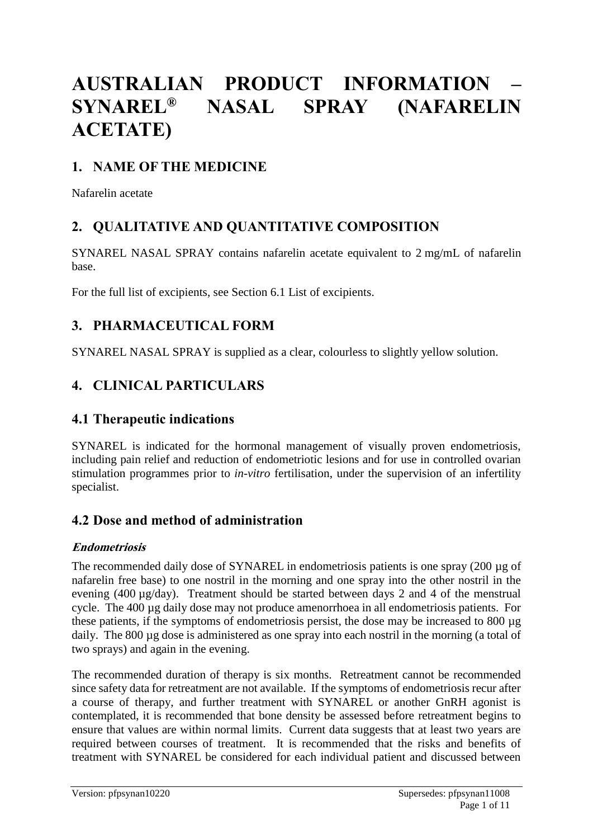# **AUSTRALIAN PRODUCT INFORMATION – SYNAREL® NASAL SPRAY (NAFARELIN ACETATE)**

# **1. NAME OF THE MEDICINE**

Nafarelin acetate

# **2. QUALITATIVE AND QUANTITATIVE COMPOSITION**

SYNAREL NASAL SPRAY contains nafarelin acetate equivalent to 2 mg/mL of nafarelin base.

For the full list of excipients, see Section 6.1 List of excipients.

# **3. PHARMACEUTICAL FORM**

SYNAREL NASAL SPRAY is supplied as a clear, colourless to slightly yellow solution.

# **4. CLINICAL PARTICULARS**

### **4.1 Therapeutic indications**

SYNAREL is indicated for the hormonal management of visually proven endometriosis, including pain relief and reduction of endometriotic lesions and for use in controlled ovarian stimulation programmes prior to *in-vitro* fertilisation, under the supervision of an infertility specialist.

# **4.2 Dose and method of administration**

### **Endometriosis**

The recommended daily dose of SYNAREL in endometriosis patients is one spray (200 µg of nafarelin free base) to one nostril in the morning and one spray into the other nostril in the evening (400 µg/day). Treatment should be started between days 2 and 4 of the menstrual cycle. The 400 µg daily dose may not produce amenorrhoea in all endometriosis patients. For these patients, if the symptoms of endometriosis persist, the dose may be increased to 800 µg daily. The 800 µg dose is administered as one spray into each nostril in the morning (a total of two sprays) and again in the evening.

The recommended duration of therapy is six months. Retreatment cannot be recommended since safety data for retreatment are not available. If the symptoms of endometriosis recur after a course of therapy, and further treatment with SYNAREL or another GnRH agonist is contemplated, it is recommended that bone density be assessed before retreatment begins to ensure that values are within normal limits. Current data suggests that at least two years are required between courses of treatment. It is recommended that the risks and benefits of treatment with SYNAREL be considered for each individual patient and discussed between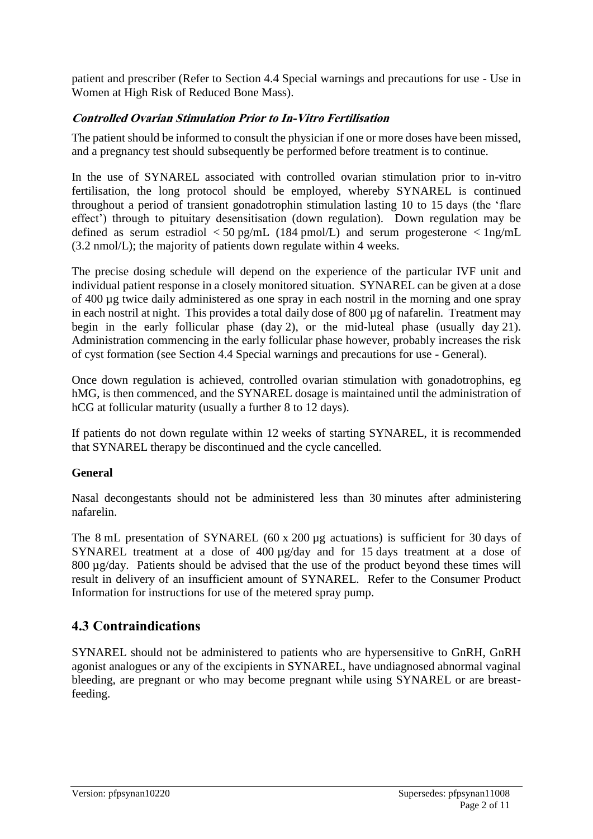patient and prescriber (Refer to Section 4.4 Special warnings and precautions for use - Use in Women at High Risk of Reduced Bone Mass).

### **Controlled Ovarian Stimulation Prior to In-Vitro Fertilisation**

The patient should be informed to consult the physician if one or more doses have been missed, and a pregnancy test should subsequently be performed before treatment is to continue.

In the use of SYNAREL associated with controlled ovarian stimulation prior to in-vitro fertilisation, the long protocol should be employed, whereby SYNAREL is continued throughout a period of transient gonadotrophin stimulation lasting 10 to 15 days (the 'flare effect') through to pituitary desensitisation (down regulation). Down regulation may be defined as serum estradiol  $\langle 50 \text{ pg/mL}$  (184 pmol/L) and serum progesterone  $\langle 1 \text{ ng/mL}$ (3.2 nmol/L); the majority of patients down regulate within 4 weeks.

The precise dosing schedule will depend on the experience of the particular IVF unit and individual patient response in a closely monitored situation. SYNAREL can be given at a dose of 400 µg twice daily administered as one spray in each nostril in the morning and one spray in each nostril at night. This provides a total daily dose of 800 µg of nafarelin. Treatment may begin in the early follicular phase (day 2), or the mid-luteal phase (usually day 21). Administration commencing in the early follicular phase however, probably increases the risk of cyst formation (see Section 4.4 Special warnings and precautions for use - General).

Once down regulation is achieved, controlled ovarian stimulation with gonadotrophins, eg hMG, is then commenced, and the SYNAREL dosage is maintained until the administration of hCG at follicular maturity (usually a further 8 to 12 days).

If patients do not down regulate within 12 weeks of starting SYNAREL, it is recommended that SYNAREL therapy be discontinued and the cycle cancelled.

### **General**

Nasal decongestants should not be administered less than 30 minutes after administering nafarelin.

The 8 mL presentation of SYNAREL (60 x 200 µg actuations) is sufficient for 30 days of SYNAREL treatment at a dose of 400  $\mu$ g/day and for 15 days treatment at a dose of 800 µg/day. Patients should be advised that the use of the product beyond these times will result in delivery of an insufficient amount of SYNAREL. Refer to the Consumer Product Information for instructions for use of the metered spray pump.

# **4.3 Contraindications**

SYNAREL should not be administered to patients who are hypersensitive to GnRH, GnRH agonist analogues or any of the excipients in SYNAREL, have undiagnosed abnormal vaginal bleeding, are pregnant or who may become pregnant while using SYNAREL or are breastfeeding.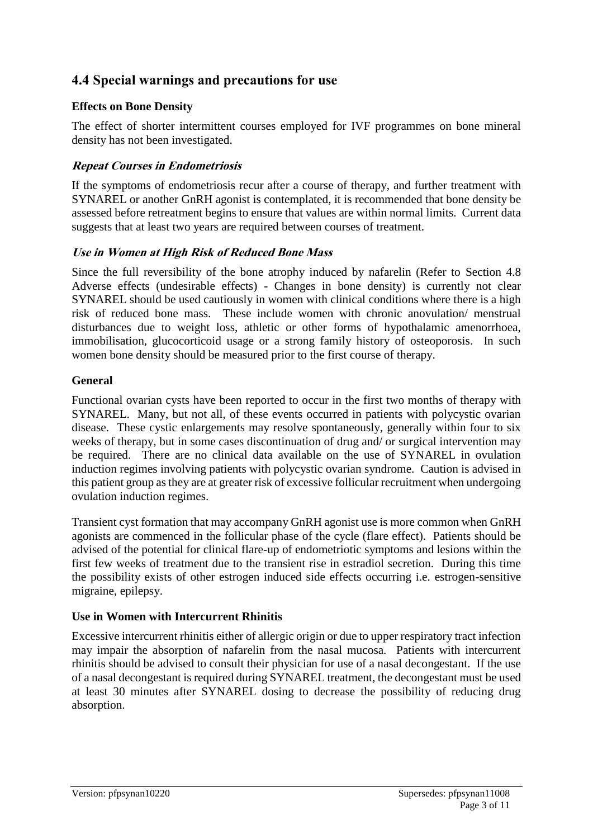# **4.4 Special warnings and precautions for use**

#### **Effects on Bone Density**

The effect of shorter intermittent courses employed for IVF programmes on bone mineral density has not been investigated.

#### **Repeat Courses in Endometriosis**

If the symptoms of endometriosis recur after a course of therapy, and further treatment with SYNAREL or another GnRH agonist is contemplated, it is recommended that bone density be assessed before retreatment begins to ensure that values are within normal limits. Current data suggests that at least two years are required between courses of treatment.

#### **Use in Women at High Risk of Reduced Bone Mass**

Since the full reversibility of the bone atrophy induced by nafarelin (Refer to Section 4.8 Adverse effects (undesirable effects) - Changes in bone density) is currently not clear SYNAREL should be used cautiously in women with clinical conditions where there is a high risk of reduced bone mass. These include women with chronic anovulation/ menstrual disturbances due to weight loss, athletic or other forms of hypothalamic amenorrhoea, immobilisation, glucocorticoid usage or a strong family history of osteoporosis. In such women bone density should be measured prior to the first course of therapy.

#### **General**

Functional ovarian cysts have been reported to occur in the first two months of therapy with SYNAREL. Many, but not all, of these events occurred in patients with polycystic ovarian disease. These cystic enlargements may resolve spontaneously, generally within four to six weeks of therapy, but in some cases discontinuation of drug and/ or surgical intervention may be required. There are no clinical data available on the use of SYNAREL in ovulation induction regimes involving patients with polycystic ovarian syndrome. Caution is advised in this patient group as they are at greater risk of excessive follicular recruitment when undergoing ovulation induction regimes.

Transient cyst formation that may accompany GnRH agonist use is more common when GnRH agonists are commenced in the follicular phase of the cycle (flare effect). Patients should be advised of the potential for clinical flare-up of endometriotic symptoms and lesions within the first few weeks of treatment due to the transient rise in estradiol secretion. During this time the possibility exists of other estrogen induced side effects occurring i.e. estrogen-sensitive migraine, epilepsy.

### **Use in Women with Intercurrent Rhinitis**

Excessive intercurrent rhinitis either of allergic origin or due to upper respiratory tract infection may impair the absorption of nafarelin from the nasal mucosa. Patients with intercurrent rhinitis should be advised to consult their physician for use of a nasal decongestant. If the use of a nasal decongestant is required during SYNAREL treatment, the decongestant must be used at least 30 minutes after SYNAREL dosing to decrease the possibility of reducing drug absorption.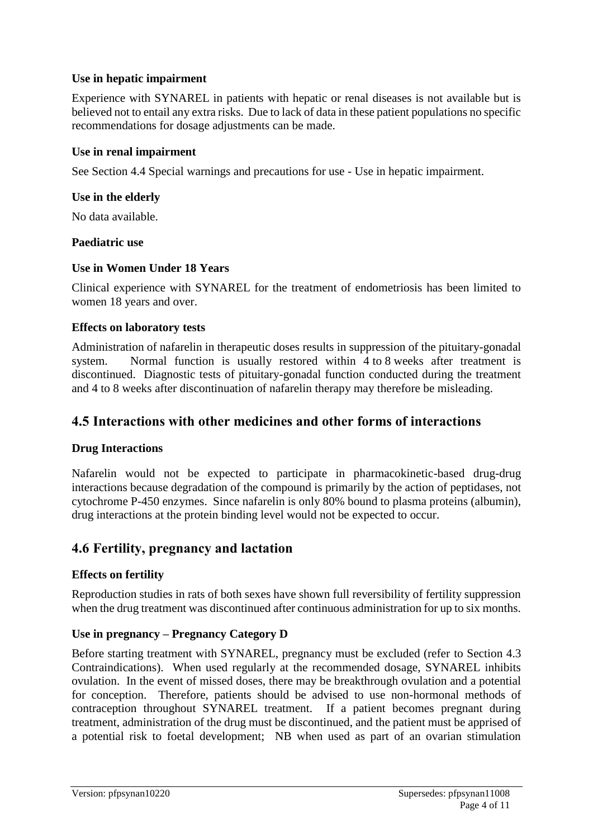#### **Use in hepatic impairment**

Experience with SYNAREL in patients with hepatic or renal diseases is not available but is believed not to entail any extra risks. Due to lack of data in these patient populations no specific recommendations for dosage adjustments can be made.

#### **Use in renal impairment**

See Section 4.4 Special warnings and precautions for use - Use in hepatic impairment.

#### **Use in the elderly**

No data available.

#### **Paediatric use**

#### **Use in Women Under 18 Years**

Clinical experience with SYNAREL for the treatment of endometriosis has been limited to women 18 years and over.

#### **Effects on laboratory tests**

Administration of nafarelin in therapeutic doses results in suppression of the pituitary-gonadal system. Normal function is usually restored within 4 to 8 weeks after treatment is discontinued. Diagnostic tests of pituitary-gonadal function conducted during the treatment and 4 to 8 weeks after discontinuation of nafarelin therapy may therefore be misleading.

### **4.5 Interactions with other medicines and other forms of interactions**

#### **Drug Interactions**

Nafarelin would not be expected to participate in pharmacokinetic-based drug-drug interactions because degradation of the compound is primarily by the action of peptidases, not cytochrome P-450 enzymes. Since nafarelin is only 80% bound to plasma proteins (albumin), drug interactions at the protein binding level would not be expected to occur.

### **4.6 Fertility, pregnancy and lactation**

#### **Effects on fertility**

Reproduction studies in rats of both sexes have shown full reversibility of fertility suppression when the drug treatment was discontinued after continuous administration for up to six months.

#### **Use in pregnancy – Pregnancy Category D**

Before starting treatment with SYNAREL, pregnancy must be excluded (refer to Section 4.3 Contraindications). When used regularly at the recommended dosage, SYNAREL inhibits ovulation. In the event of missed doses, there may be breakthrough ovulation and a potential for conception. Therefore, patients should be advised to use non-hormonal methods of contraception throughout SYNAREL treatment. If a patient becomes pregnant during treatment, administration of the drug must be discontinued, and the patient must be apprised of a potential risk to foetal development; NB when used as part of an ovarian stimulation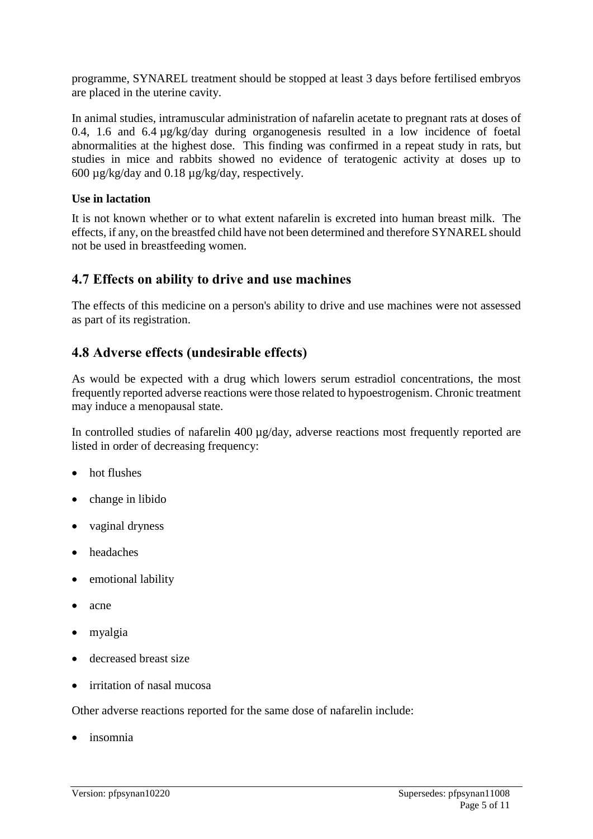programme, SYNAREL treatment should be stopped at least 3 days before fertilised embryos are placed in the uterine cavity.

In animal studies, intramuscular administration of nafarelin acetate to pregnant rats at doses of 0.4, 1.6 and 6.4 µg/kg/day during organogenesis resulted in a low incidence of foetal abnormalities at the highest dose. This finding was confirmed in a repeat study in rats, but studies in mice and rabbits showed no evidence of teratogenic activity at doses up to 600 µg/kg/day and 0.18 µg/kg/day, respectively.

#### **Use in lactation**

It is not known whether or to what extent nafarelin is excreted into human breast milk. The effects, if any, on the breastfed child have not been determined and therefore SYNAREL should not be used in breastfeeding women.

### **4.7 Effects on ability to drive and use machines**

The effects of this medicine on a person's ability to drive and use machines were not assessed as part of its registration.

### **4.8 Adverse effects (undesirable effects)**

As would be expected with a drug which lowers serum estradiol concentrations, the most frequently reported adverse reactions were those related to hypoestrogenism. Chronic treatment may induce a menopausal state.

In controlled studies of nafarelin 400  $\mu$ g/day, adverse reactions most frequently reported are listed in order of decreasing frequency:

- hot flushes
- change in libido
- vaginal dryness
- headaches
- emotional lability
- acne
- myalgia
- decreased breast size
- irritation of nasal mucosa

Other adverse reactions reported for the same dose of nafarelin include:

insomnia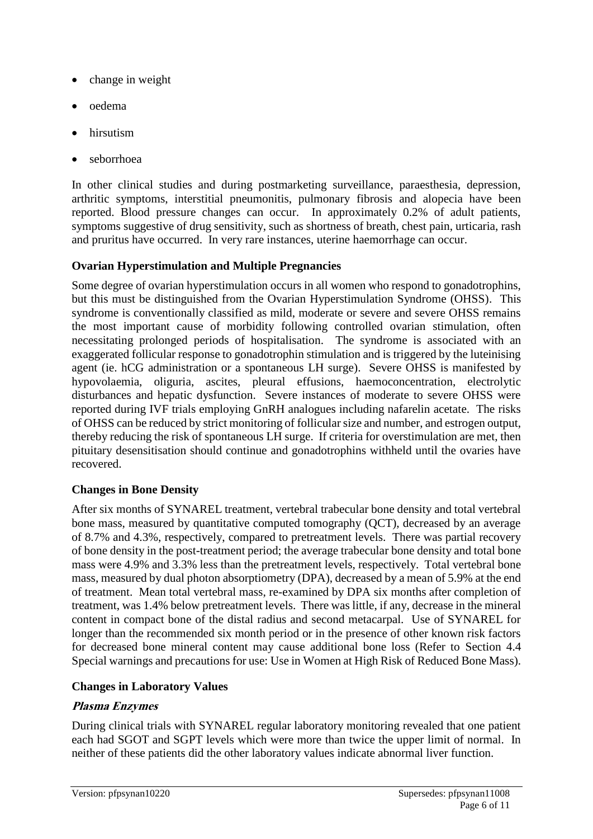- change in weight
- oedema
- hirsutism
- seborrhoea

In other clinical studies and during postmarketing surveillance, paraesthesia, depression, arthritic symptoms, interstitial pneumonitis, pulmonary fibrosis and alopecia have been reported. Blood pressure changes can occur. In approximately 0.2% of adult patients, symptoms suggestive of drug sensitivity, such as shortness of breath, chest pain, urticaria, rash and pruritus have occurred. In very rare instances, uterine haemorrhage can occur.

### **Ovarian Hyperstimulation and Multiple Pregnancies**

Some degree of ovarian hyperstimulation occurs in all women who respond to gonadotrophins, but this must be distinguished from the Ovarian Hyperstimulation Syndrome (OHSS). This syndrome is conventionally classified as mild, moderate or severe and severe OHSS remains the most important cause of morbidity following controlled ovarian stimulation, often necessitating prolonged periods of hospitalisation. The syndrome is associated with an exaggerated follicular response to gonadotrophin stimulation and is triggered by the luteinising agent (ie. hCG administration or a spontaneous LH surge). Severe OHSS is manifested by hypovolaemia, oliguria, ascites, pleural effusions, haemoconcentration, electrolytic disturbances and hepatic dysfunction. Severe instances of moderate to severe OHSS were reported during IVF trials employing GnRH analogues including nafarelin acetate. The risks of OHSS can be reduced by strict monitoring of follicular size and number, and estrogen output, thereby reducing the risk of spontaneous LH surge. If criteria for overstimulation are met, then pituitary desensitisation should continue and gonadotrophins withheld until the ovaries have recovered.

### **Changes in Bone Density**

After six months of SYNAREL treatment, vertebral trabecular bone density and total vertebral bone mass, measured by quantitative computed tomography (QCT), decreased by an average of 8.7% and 4.3%, respectively, compared to pretreatment levels. There was partial recovery of bone density in the post-treatment period; the average trabecular bone density and total bone mass were 4.9% and 3.3% less than the pretreatment levels, respectively. Total vertebral bone mass, measured by dual photon absorptiometry (DPA), decreased by a mean of 5.9% at the end of treatment. Mean total vertebral mass, re-examined by DPA six months after completion of treatment, was 1.4% below pretreatment levels. There was little, if any, decrease in the mineral content in compact bone of the distal radius and second metacarpal. Use of SYNAREL for longer than the recommended six month period or in the presence of other known risk factors for decreased bone mineral content may cause additional bone loss (Refer to Section 4.4 Special warnings and precautions for use: Use in Women at High Risk of Reduced Bone Mass).

### **Changes in Laboratory Values**

### **Plasma Enzymes**

During clinical trials with SYNAREL regular laboratory monitoring revealed that one patient each had SGOT and SGPT levels which were more than twice the upper limit of normal. In neither of these patients did the other laboratory values indicate abnormal liver function.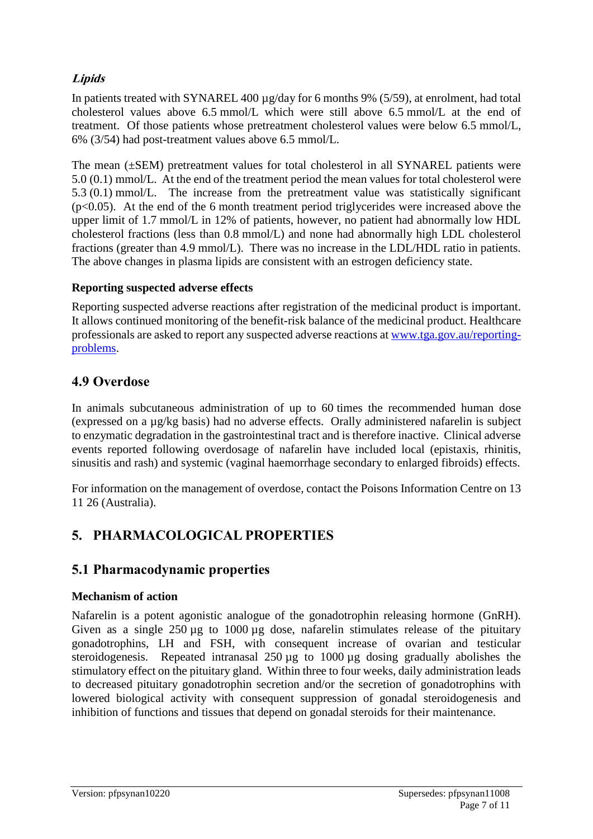### **Lipids**

In patients treated with SYNAREL 400 µg/day for 6 months 9% (5/59), at enrolment, had total cholesterol values above 6.5 mmol/L which were still above 6.5 mmol/L at the end of treatment. Of those patients whose pretreatment cholesterol values were below 6.5 mmol/L, 6% (3/54) had post-treatment values above 6.5 mmol/L.

The mean (±SEM) pretreatment values for total cholesterol in all SYNAREL patients were 5.0 (0.1) mmol/L. At the end of the treatment period the mean values for total cholesterol were 5.3 (0.1) mmol/L. The increase from the pretreatment value was statistically significant  $(p<0.05)$ . At the end of the 6 month treatment period triglycerides were increased above the upper limit of 1.7 mmol/L in 12% of patients, however, no patient had abnormally low HDL cholesterol fractions (less than 0.8 mmol/L) and none had abnormally high LDL cholesterol fractions (greater than 4.9 mmol/L). There was no increase in the LDL/HDL ratio in patients. The above changes in plasma lipids are consistent with an estrogen deficiency state.

#### **Reporting suspected adverse effects**

Reporting suspected adverse reactions after registration of the medicinal product is important. It allows continued monitoring of the benefit-risk balance of the medicinal product. Healthcare professionals are asked to report any suspected adverse reactions at [www.tga.gov.au/reporting](http://www.tga.gov.au/reporting-problems)[problems.](http://www.tga.gov.au/reporting-problems)

### **4.9 Overdose**

In animals subcutaneous administration of up to 60 times the recommended human dose (expressed on a µg/kg basis) had no adverse effects. Orally administered nafarelin is subject to enzymatic degradation in the gastrointestinal tract and is therefore inactive. Clinical adverse events reported following overdosage of nafarelin have included local (epistaxis, rhinitis, sinusitis and rash) and systemic (vaginal haemorrhage secondary to enlarged fibroids) effects.

For information on the management of overdose, contact the Poisons Information Centre on 13 11 26 (Australia).

# **5. PHARMACOLOGICAL PROPERTIES**

### **5.1 Pharmacodynamic properties**

#### **Mechanism of action**

Nafarelin is a potent agonistic analogue of the gonadotrophin releasing hormone (GnRH). Given as a single 250 µg to 1000 µg dose, nafarelin stimulates release of the pituitary gonadotrophins, LH and FSH, with consequent increase of ovarian and testicular steroidogenesis. Repeated intranasal 250 µg to 1000 µg dosing gradually abolishes the stimulatory effect on the pituitary gland. Within three to four weeks, daily administration leads to decreased pituitary gonadotrophin secretion and/or the secretion of gonadotrophins with lowered biological activity with consequent suppression of gonadal steroidogenesis and inhibition of functions and tissues that depend on gonadal steroids for their maintenance.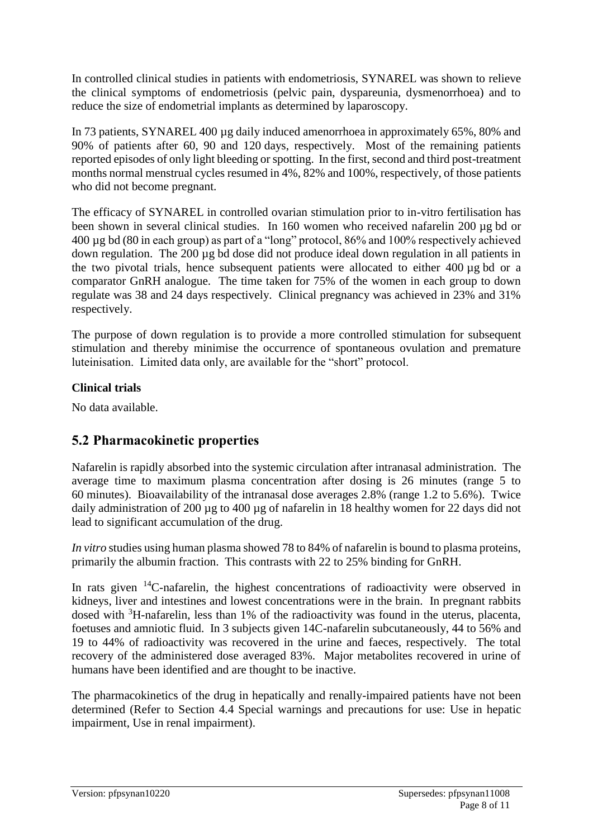In controlled clinical studies in patients with endometriosis, SYNAREL was shown to relieve the clinical symptoms of endometriosis (pelvic pain, dyspareunia, dysmenorrhoea) and to reduce the size of endometrial implants as determined by laparoscopy.

In 73 patients, SYNAREL 400 µg daily induced amenorrhoea in approximately 65%, 80% and 90% of patients after 60, 90 and 120 days, respectively. Most of the remaining patients reported episodes of only light bleeding or spotting. In the first, second and third post-treatment months normal menstrual cycles resumed in 4%, 82% and 100%, respectively, of those patients who did not become pregnant.

The efficacy of SYNAREL in controlled ovarian stimulation prior to in-vitro fertilisation has been shown in several clinical studies. In 160 women who received nafarelin 200 µg bd or 400 µg bd (80 in each group) as part of a "long" protocol, 86% and 100% respectively achieved down regulation. The 200 µg bd dose did not produce ideal down regulation in all patients in the two pivotal trials, hence subsequent patients were allocated to either 400 µg bd or a comparator GnRH analogue. The time taken for 75% of the women in each group to down regulate was 38 and 24 days respectively. Clinical pregnancy was achieved in 23% and 31% respectively.

The purpose of down regulation is to provide a more controlled stimulation for subsequent stimulation and thereby minimise the occurrence of spontaneous ovulation and premature luteinisation. Limited data only, are available for the "short" protocol.

### **Clinical trials**

No data available.

# **5.2 Pharmacokinetic properties**

Nafarelin is rapidly absorbed into the systemic circulation after intranasal administration. The average time to maximum plasma concentration after dosing is 26 minutes (range 5 to 60 minutes). Bioavailability of the intranasal dose averages 2.8% (range 1.2 to 5.6%). Twice daily administration of 200 µg to 400 µg of nafarelin in 18 healthy women for 22 days did not lead to significant accumulation of the drug.

*In vitro* studies using human plasma showed 78 to 84% of nafarelin is bound to plasma proteins, primarily the albumin fraction. This contrasts with 22 to 25% binding for GnRH.

In rats given  $14C$ -nafarelin, the highest concentrations of radioactivity were observed in kidneys, liver and intestines and lowest concentrations were in the brain. In pregnant rabbits dosed with <sup>3</sup>H-nafarelin, less than 1% of the radioactivity was found in the uterus, placenta, foetuses and amniotic fluid. In 3 subjects given 14C-nafarelin subcutaneously, 44 to 56% and 19 to 44% of radioactivity was recovered in the urine and faeces, respectively. The total recovery of the administered dose averaged 83%. Major metabolites recovered in urine of humans have been identified and are thought to be inactive.

The pharmacokinetics of the drug in hepatically and renally-impaired patients have not been determined (Refer to Section 4.4 Special warnings and precautions for use: Use in hepatic impairment, Use in renal impairment).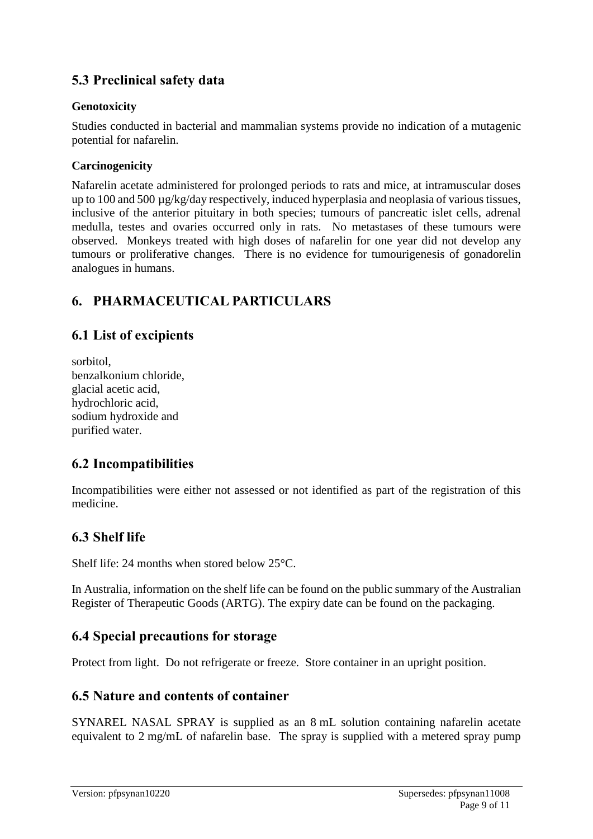# **5.3 Preclinical safety data**

#### **Genotoxicity**

Studies conducted in bacterial and mammalian systems provide no indication of a mutagenic potential for nafarelin.

#### **Carcinogenicity**

Nafarelin acetate administered for prolonged periods to rats and mice, at intramuscular doses up to 100 and 500 µg/kg/day respectively, induced hyperplasia and neoplasia of various tissues, inclusive of the anterior pituitary in both species; tumours of pancreatic islet cells, adrenal medulla, testes and ovaries occurred only in rats. No metastases of these tumours were observed. Monkeys treated with high doses of nafarelin for one year did not develop any tumours or proliferative changes. There is no evidence for tumourigenesis of gonadorelin analogues in humans.

# **6. PHARMACEUTICAL PARTICULARS**

### **6.1 List of excipients**

sorbitol, benzalkonium chloride, glacial acetic acid, hydrochloric acid, sodium hydroxide and purified water.

# **6.2 Incompatibilities**

Incompatibilities were either not assessed or not identified as part of the registration of this medicine.

# **6.3 Shelf life**

Shelf life: 24 months when stored below 25°C.

In Australia, information on the shelf life can be found on the public summary of the Australian Register of Therapeutic Goods (ARTG). The expiry date can be found on the packaging.

# **6.4 Special precautions for storage**

Protect from light. Do not refrigerate or freeze. Store container in an upright position.

### **6.5 Nature and contents of container**

SYNAREL NASAL SPRAY is supplied as an 8 mL solution containing nafarelin acetate equivalent to 2 mg/mL of nafarelin base. The spray is supplied with a metered spray pump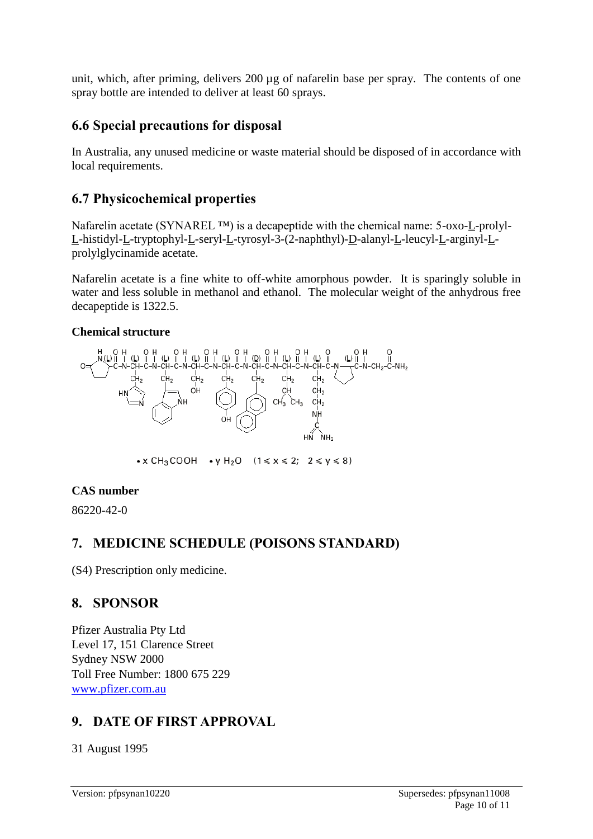unit, which, after priming, delivers 200 µg of nafarelin base per spray. The contents of one spray bottle are intended to deliver at least 60 sprays.

# **6.6 Special precautions for disposal**

In Australia, any unused medicine or waste material should be disposed of in accordance with local requirements.

### **6.7 Physicochemical properties**

Nafarelin acetate (SYNAREL ™) is a decapeptide with the chemical name: 5-oxo-L-prolyl-L-histidyl-L-tryptophyl-L-seryl-L-tyrosyl-3-(2-naphthyl)-D-alanyl-L-leucyl-L-arginyl-Lprolylglycinamide acetate.

Nafarelin acetate is a fine white to off-white amorphous powder. It is sparingly soluble in water and less soluble in methanol and ethanol. The molecular weight of the anhydrous free decapeptide is 1322.5.

#### **Chemical structure**



• x CH<sub>3</sub>COOH • y H<sub>2</sub>O  $(1 \le x \le 2; 2 \le y \le 8)$ 

### **CAS number**

86220-42-0

# **7. MEDICINE SCHEDULE (POISONS STANDARD)**

(S4) Prescription only medicine.

# **8. SPONSOR**

Pfizer Australia Pty Ltd Level 17, 151 Clarence Street Sydney NSW 2000 Toll Free Number: 1800 675 229 [www.pfizer.com.au](http://www.pfizer.com.au/)

# **9. DATE OF FIRST APPROVAL**

31 August 1995